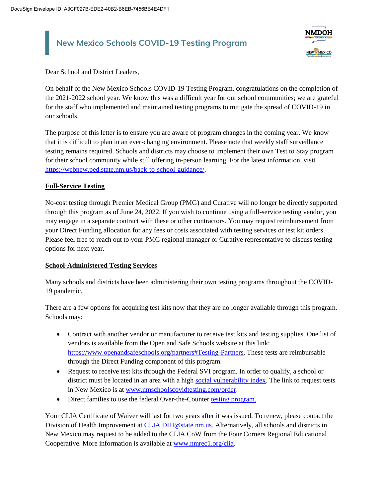# **New Mexico Schools COVID-19 Testing Program**



Dear School and District Leaders,

On behalf of the New Mexico Schools COVID-19 Testing Program, congratulations on the completion of the 2021-2022 school year. We know this was a difficult year for our school communities; we are grateful for the staff who implemented and maintained testing programs to mitigate the spread of COVID-19 in our schools.

The purpose of this letter is to ensure you are aware of program changes in the coming year. We know that it is difficult to plan in an ever-changing environment. Please note that weekly staff surveillance testing remains required. Schools and districts may choose to implement their own Test to Stay program for their school community while still offering in-person learning. For the latest information, visit [https://webnew.ped.state.nm.us/back-to-school-guidance/.](https://webnew.ped.state.nm.us/back-to-school-guidance/)

## **Full-Service Testing**

No-cost testing through Premier Medical Group (PMG) and Curative will no longer be directly supported through this program as of June 24, 2022. If you wish to continue using a full-service testing vendor, you may engage in a separate contract with these or other contractors. You may request reimbursement from your Direct Funding allocation for any fees or costs associated with testing services or test kit orders. Please feel free to reach out to your PMG regional manager or Curative representative to discuss testing options for next year.

## **School-Administered Testing Services**

Many schools and districts have been administering their own testing programs throughout the COVID-19 pandemic.

There are a few options for acquiring test kits now that they are no longer available through this program. Schools may:

- Contract with another vendor or manufacturer to receive test kits and testing supplies. One list of vendors is available from the Open and Safe Schools website at this link: [https://www.openandsafeschools.org/partners#Testing-Partners.](https://www.openandsafeschools.org/partners#Testing-Partners) These tests are reimbursable through the Direct Funding component of this program.
- Request to receive test kits through the Federal SVI program. In order to qualify, a school or district must be located in an area with a high [social vulnerability index.](https://www.atsdr.cdc.gov/placeandhealth/svi/index.html) The link to request tests in New Mexico is at [www.nmschoolscovidtesting.com/order.](http://www.nmschoolscovidtesting.com/order)
- Direct families to use the federal Over-the-Counter [testing program.](https://www.covid.gov/tests)

Your CLIA Certificate of Waiver will last for two years after it was issued. To renew, please contact the Division of Health Improvement at [CLIA.DHI@state.nm.us.](mailto:CLIA.DHI@state.nm.us) Alternatively, all schools and districts in New Mexico may request to be added to the CLIA CoW from the Four Corners Regional Educational Cooperative. More information is available a[t www.nmrec1.org/clia.](http://www.nmrec1.org/clia)